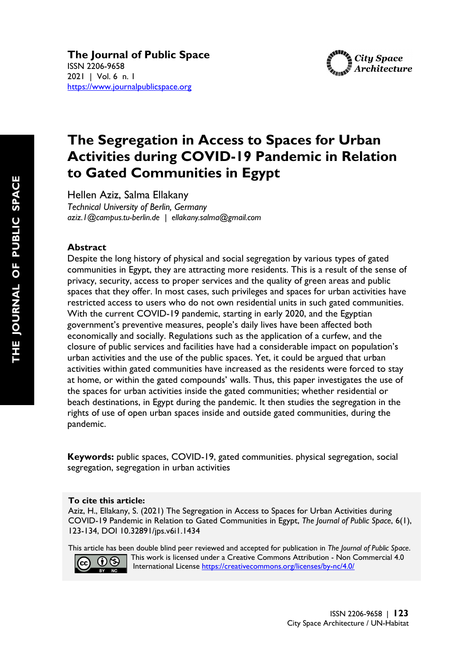

# **The Segregation in Access to Spaces for Urban Activities during COVID-19 Pandemic in Relation to Gated Communities in Egypt**

Hellen Aziz, Salma Ellakany

*Technical University of Berlin, Germany aziz.1@campus.tu-berlin.de | ellakany.salma@gmail.com*

## **Abstract**

Despite the long history of physical and social segregation by various types of gated communities in Egypt, they are attracting more residents. This is a result of the sense of privacy, security, access to proper services and the quality of green areas and public spaces that they offer. In most cases, such privileges and spaces for urban activities have restricted access to users who do not own residential units in such gated communities. With the current COVID-19 pandemic, starting in early 2020, and the Egyptian government's preventive measures, people's daily lives have been affected both economically and socially. Regulations such as the application of a curfew, and the closure of public services and facilities have had a considerable impact on population's urban activities and the use of the public spaces. Yet, it could be argued that urban activities within gated communities have increased as the residents were forced to stay at home, or within the gated compounds' walls. Thus, this paper investigates the use of the spaces for urban activities inside the gated communities; whether residential or beach destinations, in Egypt during the pandemic. It then studies the segregation in the rights of use of open urban spaces inside and outside gated communities, during the pandemic.

**Keywords:** public spaces, COVID-19, gated communities. physical segregation, social segregation, segregation in urban activities

#### **To cite this article:**

Aziz, H., Ellakany, S. (2021) The Segregation in Access to Spaces for Urban Activities during COVID-19 Pandemic in Relation to Gated Communities in Egypt, *The Journal of Public Space*, 6(1), 123-134, DOI 10.32891/jps.v6i1.1434

This article has been double blind peer reviewed and accepted for publication in *The Journal of Public Space*.



 This work is licensed under a Creative Commons Attribution - Non Commercial 4.0 International License<https://creativecommons.org/licenses/by-nc/4.0/>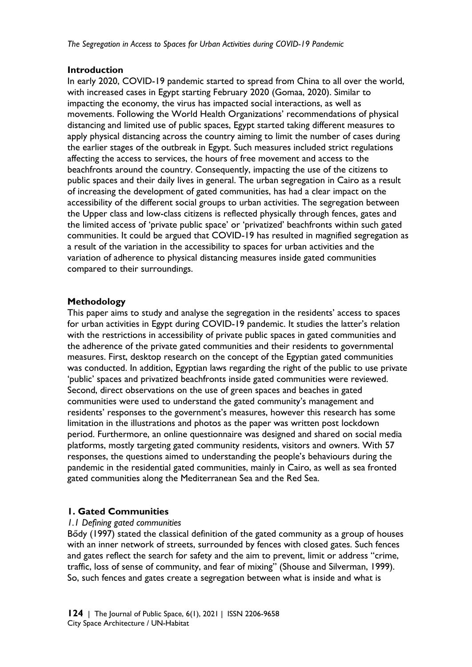#### **Introduction**

In early 2020, COVID-19 pandemic started to spread from China to all over the world, with increased cases in Egypt starting February 2020 (Gomaa, 2020). Similar to impacting the economy, the virus has impacted social interactions, as well as movements. Following the World Health Organizations' recommendations of physical distancing and limited use of public spaces, Egypt started taking different measures to apply physical distancing across the country aiming to limit the number of cases during the earlier stages of the outbreak in Egypt. Such measures included strict regulations affecting the access to services, the hours of free movement and access to the beachfronts around the country. Consequently, impacting the use of the citizens to public spaces and their daily lives in general. The urban segregation in Cairo as a result of increasing the development of gated communities, has had a clear impact on the accessibility of the different social groups to urban activities. The segregation between the Upper class and low-class citizens is reflected physically through fences, gates and the limited access of 'private public space' or 'privatized' beachfronts within such gated communities. It could be argued that COVID-19 has resulted in magnified segregation as a result of the variation in the accessibility to spaces for urban activities and the variation of adherence to physical distancing measures inside gated communities compared to their surroundings.

#### **Methodology**

This paper aims to study and analyse the segregation in the residents' access to spaces for urban activities in Egypt during COVID-19 pandemic. It studies the latter's relation with the restrictions in accessibility of private public spaces in gated communities and the adherence of the private gated communities and their residents to governmental measures. First, desktop research on the concept of the Egyptian gated communities was conducted. In addition, Egyptian laws regarding the right of the public to use private 'public' spaces and privatized beachfronts inside gated communities were reviewed. Second, direct observations on the use of green spaces and beaches in gated communities were used to understand the gated community's management and residents' responses to the government's measures, however this research has some limitation in the illustrations and photos as the paper was written post lockdown period. Furthermore, an online questionnaire was designed and shared on social media platforms, mostly targeting gated community residents, visitors and owners. With 57 responses, the questions aimed to understanding the people's behaviours during the pandemic in the residential gated communities, mainly in Cairo, as well as sea fronted gated communities along the Mediterranean Sea and the Red Sea.

## **1. Gated Communities**

#### *1.1 Defining gated communities*

Bődy (1997) stated the classical definition of the gated community as a group of houses with an inner network of streets, surrounded by fences with closed gates. Such fences and gates reflect the search for safety and the aim to prevent, limit or address "crime, traffic, loss of sense of community, and fear of mixing" (Shouse and Silverman, 1999). So, such fences and gates create a segregation between what is inside and what is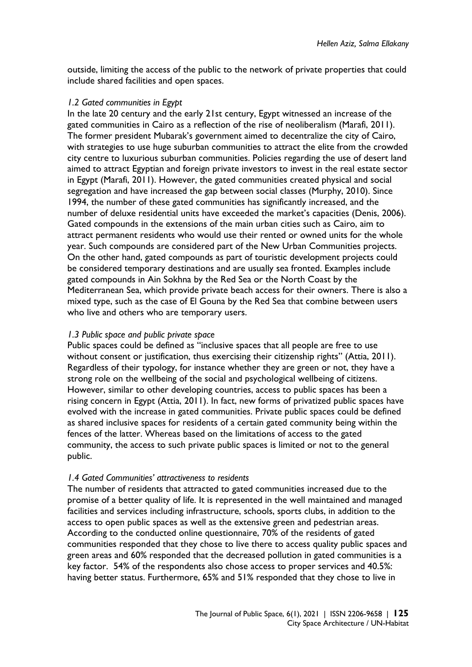outside, limiting the access of the public to the network of private properties that could include shared facilities and open spaces.

#### *1.2 Gated communities in Egypt*

In the late 20 century and the early 21st century, Egypt witnessed an increase of the gated communities in Cairo as a reflection of the rise of neoliberalism (Marafi, 2011). The former president Mubarak's government aimed to decentralize the city of Cairo, with strategies to use huge suburban communities to attract the elite from the crowded city centre to luxurious suburban communities. Policies regarding the use of desert land aimed to attract Egyptian and foreign private investors to invest in the real estate sector in Egypt (Marafi, 2011). However, the gated communities created physical and social segregation and have increased the gap between social classes (Murphy, 2010). Since 1994, the number of these gated communities has significantly increased, and the number of deluxe residential units have exceeded the market's capacities (Denis, 2006). Gated compounds in the extensions of the main urban cities such as Cairo, aim to attract permanent residents who would use their rented or owned units for the whole year. Such compounds are considered part of the New Urban Communities projects. On the other hand, gated compounds as part of touristic development projects could be considered temporary destinations and are usually sea fronted. Examples include gated compounds in Ain Sokhna by the Red Sea or the North Coast by the Mediterranean Sea, which provide private beach access for their owners. There is also a mixed type, such as the case of El Gouna by the Red Sea that combine between users who live and others who are temporary users.

#### *1.3 Public space and public private space*

Public spaces could be defined as "inclusive spaces that all people are free to use without consent or justification, thus exercising their citizenship rights" (Attia, 2011). Regardless of their typology, for instance whether they are green or not, they have a strong role on the wellbeing of the social and psychological wellbeing of citizens. However, similar to other developing countries, access to public spaces has been a rising concern in Egypt (Attia, 2011). In fact, new forms of privatized public spaces have evolved with the increase in gated communities. Private public spaces could be defined as shared inclusive spaces for residents of a certain gated community being within the fences of the latter. Whereas based on the limitations of access to the gated community, the access to such private public spaces is limited or not to the general public.

## *1.4 Gated Communities' attractiveness to residents*

The number of residents that attracted to gated communities increased due to the promise of a better quality of life. It is represented in the well maintained and managed facilities and services including infrastructure, schools, sports clubs, in addition to the access to open public spaces as well as the extensive green and pedestrian areas. According to the conducted online questionnaire, 70% of the residents of gated communities responded that they chose to live there to access quality public spaces and green areas and 60% responded that the decreased pollution in gated communities is a key factor. 54% of the respondents also chose access to proper services and 40.5%: having better status. Furthermore, 65% and 51% responded that they chose to live in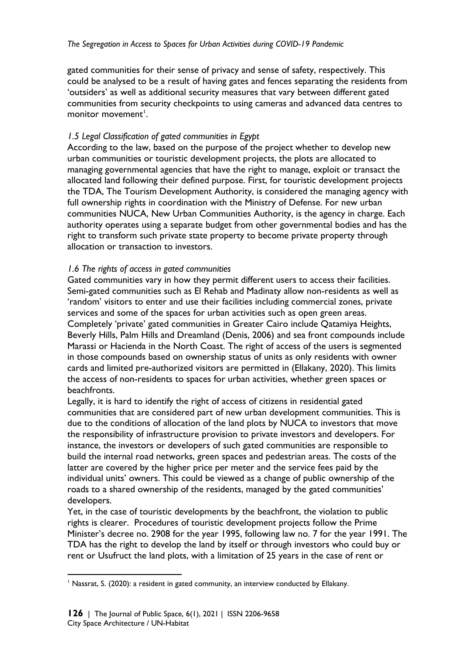gated communities for their sense of privacy and sense of safety, respectively. This could be analysed to be a result of having gates and fences separating the residents from 'outsiders' as well as additional security measures that vary between different gated communities from security checkpoints to using cameras and advanced data centres to monitor movement<sup>[1](#page-3-0)</sup>.

## *1.5 Legal Classification of gated communities in Egypt*

According to the law, based on the purpose of the project whether to develop new urban communities or touristic development projects, the plots are allocated to managing governmental agencies that have the right to manage, exploit or transact the allocated land following their defined purpose. First, for touristic development projects the TDA, The Tourism Development Authority, is considered the managing agency with full ownership rights in coordination with the Ministry of Defense. For new urban communities NUCA, New Urban Communities Authority, is the agency in charge. Each authority operates using a separate budget from other governmental bodies and has the right to transform such private state property to become private property through allocation or transaction to investors.

## *1.6 The rights of access in gated communities*

Gated communities vary in how they permit different users to access their facilities. Semi-gated communities such as El Rehab and Madinaty allow non-residents as well as 'random' visitors to enter and use their facilities including commercial zones, private services and some of the spaces for urban activities such as open green areas. Completely 'private' gated communities in Greater Cairo include Qatamiya Heights, Beverly Hills, Palm Hills and Dreamland (Denis, 2006) and sea front compounds include Marassi or Hacienda in the North Coast. The right of access of the users is segmented in those compounds based on ownership status of units as only residents with owner cards and limited pre-authorized visitors are permitted in (Ellakany, 2020). This limits the access of non-residents to spaces for urban activities, whether green spaces or beachfronts.

Legally, it is hard to identify the right of access of citizens in residential gated communities that are considered part of new urban development communities. This is due to the conditions of allocation of the land plots by NUCA to investors that move the responsibility of infrastructure provision to private investors and developers. For instance, the investors or developers of such gated communities are responsible to build the internal road networks, green spaces and pedestrian areas. The costs of the latter are covered by the higher price per meter and the service fees paid by the individual units' owners. This could be viewed as a change of public ownership of the roads to a shared ownership of the residents, managed by the gated communities' developers.

Yet, in the case of touristic developments by the beachfront, the violation to public rights is clearer. Procedures of touristic development projects follow the Prime Minister's decree no. 2908 for the year 1995, following law no. 7 for the year 1991. The TDA has the right to develop the land by itself or through investors who could buy or rent or Usufruct the land plots, with a limitation of 25 years in the case of rent or

<span id="page-3-0"></span> $<sup>1</sup>$  Nassrat, S. (2020): a resident in gated community, an interview conducted by Ellakany.</sup>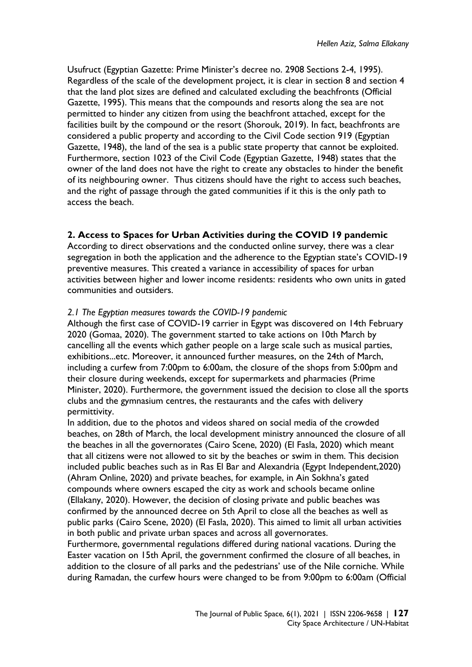Usufruct (Egyptian Gazette: Prime Minister's decree no. 2908 Sections 2-4, 1995). Regardless of the scale of the development project, it is clear in section 8 and section 4 that the land plot sizes are defined and calculated excluding the beachfronts (Official Gazette, 1995). This means that the compounds and resorts along the sea are not permitted to hinder any citizen from using the beachfront attached, except for the facilities built by the compound or the resort (Shorouk, 2019). In fact, beachfronts are considered a public property and according to the Civil Code section 919 (Egyptian Gazette, 1948), the land of the sea is a public state property that cannot be exploited. Furthermore, section 1023 of the Civil Code (Egyptian Gazette, 1948) states that the owner of the land does not have the right to create any obstacles to hinder the benefit of its neighbouring owner. Thus citizens should have the right to access such beaches, and the right of passage through the gated communities if it this is the only path to access the beach.

## **2. Access to Spaces for Urban Activities during the COVID 19 pandemic**

According to direct observations and the conducted online survey, there was a clear segregation in both the application and the adherence to the Egyptian state's COVID-19 preventive measures. This created a variance in accessibility of spaces for urban activities between higher and lower income residents: residents who own units in gated communities and outsiders.

#### *2.1 The Egyptian measures towards the COVID-19 pandemic*

Although the first case of COVID-19 carrier in Egypt was discovered on 14th February 2020 (Gomaa, 2020). The government started to take actions on 10th March by cancelling all the events which gather people on a large scale such as musical parties, exhibitions...etc. Moreover, it announced further measures, on the 24th of March, including a curfew from 7:00pm to 6:00am, the closure of the shops from 5:00pm and their closure during weekends, except for supermarkets and pharmacies (Prime Minister, 2020). Furthermore, the government issued the decision to close all the sports clubs and the gymnasium centres, the restaurants and the cafes with delivery permittivity.

In addition, due to the photos and videos shared on social media of the crowded beaches, on 28th of March, the local development ministry announced the closure of all the beaches in all the governorates (Cairo Scene, 2020) (El Fasla, 2020) which meant that all citizens were not allowed to sit by the beaches or swim in them. This decision included public beaches such as in Ras El Bar and Alexandria (Egypt Independent,2020) (Ahram Online, 2020) and private beaches, for example, in Ain Sokhna's gated compounds where owners escaped the city as work and schools became online (Ellakany, 2020). However, the decision of closing private and public beaches was confirmed by the announced decree on 5th April to close all the beaches as well as public parks (Cairo Scene, 2020) (El Fasla, 2020). This aimed to limit all urban activities in both public and private urban spaces and across all governorates.

Furthermore, governmental regulations differed during national vacations. During the Easter vacation on 15th April, the government confirmed the closure of all beaches, in addition to the closure of all parks and the pedestrians' use of the Nile corniche. While during Ramadan, the curfew hours were changed to be from 9:00pm to 6:00am (Official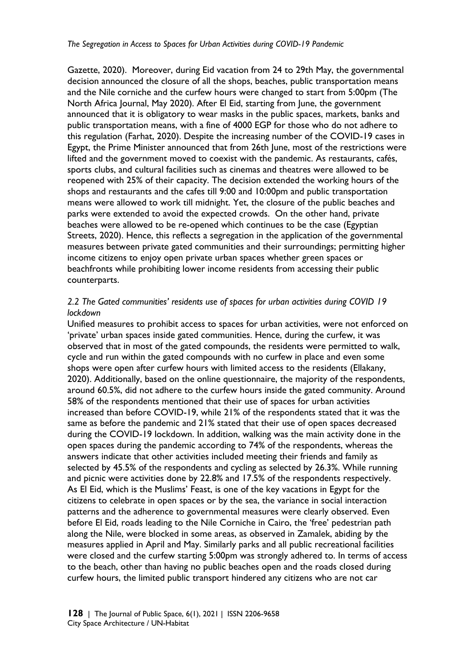Gazette, 2020). Moreover, during Eid vacation from 24 to 29th May, the governmental decision announced the closure of all the shops, beaches, public transportation means and the Nile corniche and the curfew hours were changed to start from 5:00pm (The North Africa Journal, May 2020). After El Eid, starting from June, the government announced that it is obligatory to wear masks in the public spaces, markets, banks and public transportation means, with a fine of 4000 EGP for those who do not adhere to this regulation (Farhat, 2020). Despite the increasing number of the COVID-19 cases in Egypt, the Prime Minister announced that from 26th June, most of the restrictions were lifted and the government moved to coexist with the pandemic. As restaurants, cafés, sports clubs, and cultural facilities such as cinemas and theatres were allowed to be reopened with 25% of their capacity. The decision extended the working hours of the shops and restaurants and the cafes till 9:00 and 10:00pm and public transportation means were allowed to work till midnight. Yet, the closure of the public beaches and parks were extended to avoid the expected crowds. On the other hand, private beaches were allowed to be re-opened which continues to be the case (Egyptian Streets, 2020). Hence, this reflects a segregation in the application of the governmental measures between private gated communities and their surroundings; permitting higher income citizens to enjoy open private urban spaces whether green spaces or beachfronts while prohibiting lower income residents from accessing their public counterparts.

#### *2.2 The Gated communities' residents use of spaces for urban activities during COVID 19 lockdown*

Unified measures to prohibit access to spaces for urban activities, were not enforced on 'private' urban spaces inside gated communities. Hence, during the curfew, it was observed that in most of the gated compounds, the residents were permitted to walk, cycle and run within the gated compounds with no curfew in place and even some shops were open after curfew hours with limited access to the residents (Ellakany, 2020). Additionally, based on the online questionnaire, the majority of the respondents, around 60.5%, did not adhere to the curfew hours inside the gated community. Around 58% of the respondents mentioned that their use of spaces for urban activities increased than before COVID-19, while 21% of the respondents stated that it was the same as before the pandemic and 21% stated that their use of open spaces decreased during the COVID-19 lockdown. In addition, walking was the main activity done in the open spaces during the pandemic according to 74% of the respondents, whereas the answers indicate that other activities included meeting their friends and family as selected by 45.5% of the respondents and cycling as selected by 26.3%. While running and picnic were activities done by 22.8% and 17.5% of the respondents respectively. As El Eid, which is the Muslims' Feast, is one of the key vacations in Egypt for the citizens to celebrate in open spaces or by the sea, the variance in social interaction patterns and the adherence to governmental measures were clearly observed. Even before El Eid, roads leading to the Nile Corniche in Cairo, the 'free' pedestrian path along the Nile, were blocked in some areas, as observed in Zamalek, abiding by the measures applied in April and May. Similarly parks and all public recreational facilities were closed and the curfew starting 5:00pm was strongly adhered to. In terms of access to the beach, other than having no public beaches open and the roads closed during curfew hours, the limited public transport hindered any citizens who are not car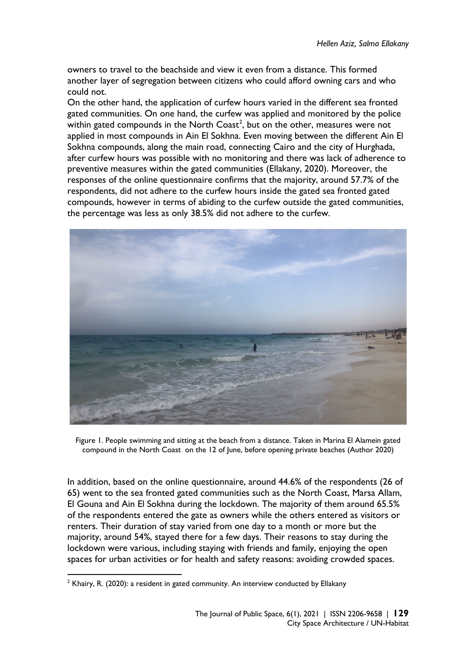owners to travel to the beachside and view it even from a distance. This formed another layer of segregation between citizens who could afford owning cars and who could not.

On the other hand, the application of curfew hours varied in the different sea fronted gated communities. On one hand, the curfew was applied and monitored by the police within gated compounds in the North Coast<sup>[2](#page-6-0)</sup>, but on the other, measures were not applied in most compounds in Ain El Sokhna. Even moving between the different Ain El Sokhna compounds, along the main road, connecting Cairo and the city of Hurghada, after curfew hours was possible with no monitoring and there was lack of adherence to preventive measures within the gated communities (Ellakany, 2020). Moreover, the responses of the online questionnaire confirms that the majority, around 57.7% of the respondents, did not adhere to the curfew hours inside the gated sea fronted gated compounds, however in terms of abiding to the curfew outside the gated communities, the percentage was less as only 38.5% did not adhere to the curfew.



Figure 1. People swimming and sitting at the beach from a distance. Taken in Marina El Alamein gated compound in the North Coast on the 12 of June, before opening private beaches (Author 2020)

In addition, based on the online questionnaire, around 44.6% of the respondents (26 of 65) went to the sea fronted gated communities such as the North Coast, Marsa Allam, El Gouna and Ain El Sokhna during the lockdown. The majority of them around 65.5% of the respondents entered the gate as owners while the others entered as visitors or renters. Their duration of stay varied from one day to a month or more but the majority, around 54%, stayed there for a few days. Their reasons to stay during the lockdown were various, including staying with friends and family, enjoying the open spaces for urban activities or for health and safety reasons: avoiding crowded spaces.

<span id="page-6-0"></span> $2$  Khairy, R. (2020): a resident in gated community. An interview conducted by Ellakany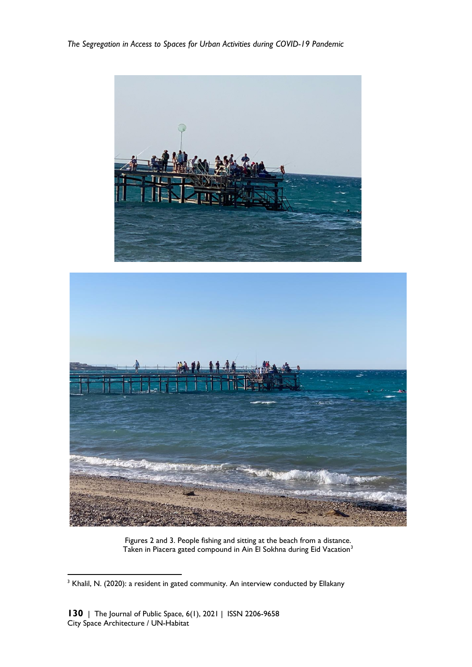*The Segregation in Access to Spaces for Urban Activities during COVID-19 Pandemic*





Figures 2 and 3. People fishing and sitting at the beach from a distance. Taken in Piacera gated compound in Ain El Sokhna during Eid Vacation<sup>[3](#page-7-0)</sup>

<span id="page-7-0"></span><sup>&</sup>lt;sup>3</sup> Khalil, N. (2020): a resident in gated community. An interview conducted by Ellakany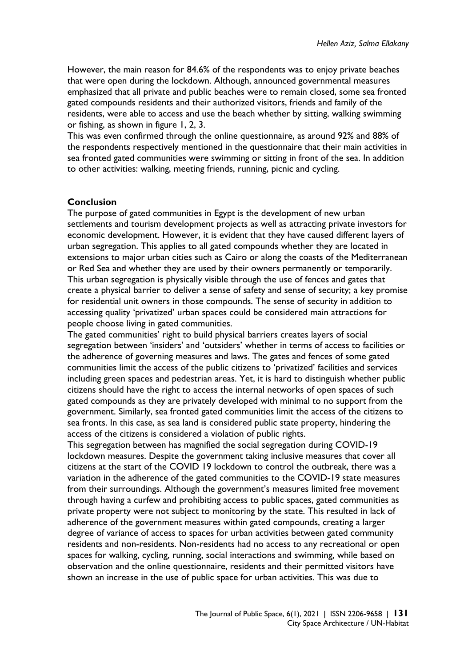However, the main reason for 84.6% of the respondents was to enjoy private beaches that were open during the lockdown. Although, announced governmental measures emphasized that all private and public beaches were to remain closed, some sea fronted gated compounds residents and their authorized visitors, friends and family of the residents, were able to access and use the beach whether by sitting, walking swimming or fishing, as shown in figure 1, 2, 3.

This was even confirmed through the online questionnaire, as around 92% and 88% of the respondents respectively mentioned in the questionnaire that their main activities in sea fronted gated communities were swimming or sitting in front of the sea. In addition to other activities: walking, meeting friends, running, picnic and cycling.

#### **Conclusion**

The purpose of gated communities in Egypt is the development of new urban settlements and tourism development projects as well as attracting private investors for economic development. However, it is evident that they have caused different layers of urban segregation. This applies to all gated compounds whether they are located in extensions to major urban cities such as Cairo or along the coasts of the Mediterranean or Red Sea and whether they are used by their owners permanently or temporarily. This urban segregation is physically visible through the use of fences and gates that create a physical barrier to deliver a sense of safety and sense of security; a key promise for residential unit owners in those compounds. The sense of security in addition to accessing quality 'privatized' urban spaces could be considered main attractions for people choose living in gated communities.

The gated communities' right to build physical barriers creates layers of social segregation between 'insiders' and 'outsiders' whether in terms of access to facilities or the adherence of governing measures and laws. The gates and fences of some gated communities limit the access of the public citizens to 'privatized' facilities and services including green spaces and pedestrian areas. Yet, it is hard to distinguish whether public citizens should have the right to access the internal networks of open spaces of such gated compounds as they are privately developed with minimal to no support from the government. Similarly, sea fronted gated communities limit the access of the citizens to sea fronts. In this case, as sea land is considered public state property, hindering the access of the citizens is considered a violation of public rights.

This segregation between has magnified the social segregation during COVID-19 lockdown measures. Despite the government taking inclusive measures that cover all citizens at the start of the COVID 19 lockdown to control the outbreak, there was a variation in the adherence of the gated communities to the COVID-19 state measures from their surroundings. Although the government's measures limited free movement through having a curfew and prohibiting access to public spaces, gated communities as private property were not subject to monitoring by the state. This resulted in lack of adherence of the government measures within gated compounds, creating a larger degree of variance of access to spaces for urban activities between gated community residents and non-residents. Non-residents had no access to any recreational or open spaces for walking, cycling, running, social interactions and swimming, while based on observation and the online questionnaire, residents and their permitted visitors have shown an increase in the use of public space for urban activities. This was due to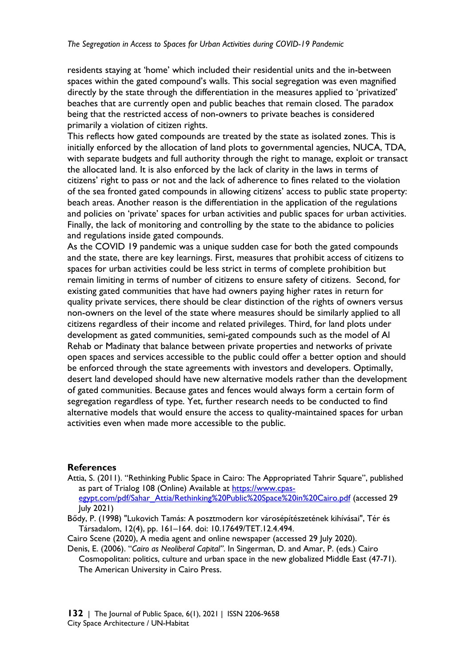residents staying at 'home' which included their residential units and the in-between spaces within the gated compound's walls. This social segregation was even magnified directly by the state through the differentiation in the measures applied to 'privatized' beaches that are currently open and public beaches that remain closed. The paradox being that the restricted access of non-owners to private beaches is considered primarily a violation of citizen rights.

This reflects how gated compounds are treated by the state as isolated zones. This is initially enforced by the allocation of land plots to governmental agencies, NUCA, TDA, with separate budgets and full authority through the right to manage, exploit or transact the allocated land. It is also enforced by the lack of clarity in the laws in terms of citizens' right to pass or not and the lack of adherence to fines related to the violation of the sea fronted gated compounds in allowing citizens' access to public state property: beach areas. Another reason is the differentiation in the application of the regulations and policies on 'private' spaces for urban activities and public spaces for urban activities. Finally, the lack of monitoring and controlling by the state to the abidance to policies and regulations inside gated compounds.

As the COVID 19 pandemic was a unique sudden case for both the gated compounds and the state, there are key learnings. First, measures that prohibit access of citizens to spaces for urban activities could be less strict in terms of complete prohibition but remain limiting in terms of number of citizens to ensure safety of citizens. Second, for existing gated communities that have had owners paying higher rates in return for quality private services, there should be clear distinction of the rights of owners versus non-owners on the level of the state where measures should be similarly applied to all citizens regardless of their income and related privileges. Third, for land plots under development as gated communities, semi-gated compounds such as the model of Al Rehab or Madinaty that balance between private properties and networks of private open spaces and services accessible to the public could offer a better option and should be enforced through the state agreements with investors and developers. Optimally, desert land developed should have new alternative models rather than the development of gated communities. Because gates and fences would always form a certain form of segregation regardless of type. Yet, further research needs to be conducted to find alternative models that would ensure the access to quality-maintained spaces for urban activities even when made more accessible to the public.

#### **References**

- Attia, S. (2011). "Rethinking Public Space in Cairo: The Appropriated Tahrir Square", published as part of Trialog 108 (Online) Available at [https://www.cpas](https://www.cpas-egypt.com/pdf/Sahar_Attia/Rethinking%20Public%20Space%20in%20Cairo.pdf)[egypt.com/pdf/Sahar\\_Attia/Rethinking%20Public%20Space%20in%20Cairo.pdf](https://www.cpas-egypt.com/pdf/Sahar_Attia/Rethinking%20Public%20Space%20in%20Cairo.pdf) (accessed 29 July 2021)
- Bődy, P. (1998) "Lukovich Tamás: A posztmodern kor városépítészetének kihívásai", Tér és Társadalom, 12(4), pp. 161–164. doi: 10.17649/TET.12.4.494.
- Cairo Scene (2020), A media agent and online newspaper (accessed 29 July 2020).
- Denis, E. (2006). "*Cairo as Neoliberal Capital"*. In Singerman, D. and Amar, P. (eds.) Cairo Cosmopolitan: politics, culture and urban space in the new globalized Middle East (47-71). The American University in Cairo Press.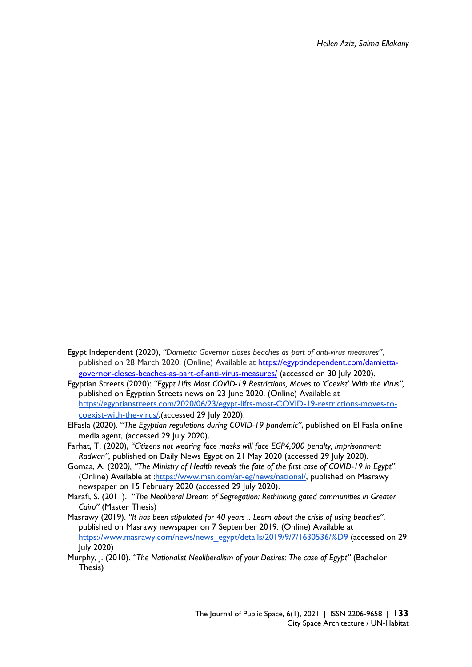- Egypt Independent (2020), *"Damietta Governor closes beaches as part of anti-virus measures"*, published on 28 March 2020. (Online) Available at [https://egyptindependent.com/damietta](https://egyptindependent.com/damietta-governor-closes-beaches-as-part-of-anti-virus-measures/)[governor-closes-beaches-as-part-of-anti-virus-measures/](https://egyptindependent.com/damietta-governor-closes-beaches-as-part-of-anti-virus-measures/) (accessed on 30 July 2020).
- Egyptian Streets (2020): *"Egypt Lifts Most COVID-19 Restrictions, Moves to 'Coexist' With the Virus",* published on Egyptian Streets news on 23 June 2020. (Online) Available at [https://egyptianstreets.com/2020/06/23/egypt-lifts-most-COVID-19-restrictions-moves-to](https://egyptianstreets.com/2020/06/23/egypt-lifts-most-covid-19-restrictions-moves-to-coexist-with-the-virus/)[coexist-with-the-virus/,](https://egyptianstreets.com/2020/06/23/egypt-lifts-most-covid-19-restrictions-moves-to-coexist-with-the-virus/)(accessed 29 July 2020).
- ElFasla (2020). "*The Egyptian regulations during COVID-19 pandemic"*, published on El Fasla online media agent, (accessed 29 July 2020).
- Farhat, T. (2020), *"Citizens not wearing face masks will face EGP4,000 penalty, imprisonment: Radwan",* published on Daily News Egypt on 21 May 2020 (accessed 29 July 2020).
- Gomaa, A. (2020*), "The Ministry of Health reveals the fate of the first case of COVID-19 in Egypt"*. (Online) Available at [:https://www.msn.com/ar-eg/news/national/,](https://www.msn.com/ar-eg/news/national/%D9%88%D8%B2%D8%A7%D8%B1%D8%A9-%D8%A7%D9%84%D8%B5%D8%AD%D8%A9-%D8%AA%D9%83%D8%B4%D9%81-%D8%B9%D9%86-%D9%85%D8%B5%D9%8A%D8%B1-%D8%A3%D9%88%D9%84-%D8%AD%D8%A7%D9%84%D8%A9-%D9%83%D9%88%D8%B1%D9%88%D9%86%D8%A7-%D9%81%D9%8A-%D9%85%D8%B5%D8%B1/ar-BB101McC) published on Masrawy newspaper on 15 February 2020 (accessed 29 July 2020).
- Marafi, S. (2011). "*The Neoliberal Dream of Segregation: Rethinking gated communities in Greater Cairo"* (Master Thesis)
- Masrawy (2019). *"It has been stipulated for 40 years .. Learn about the crisis of using beaches"*, published on Masrawy newspaper on 7 September 2019. (Online) Available at [https://www.masrawy.com/news/news\\_egypt/details/2019/9/7/1630536/%D9](https://www.masrawy.com/news/news_egypt/details/2019/9/7/1630536/%D9) (accessed on 29 July 2020)
- Murphy, J. (2010). *"The Nationalist Neoliberalism of your Desires: The case of Egypt"* (Bachelor Thesis)